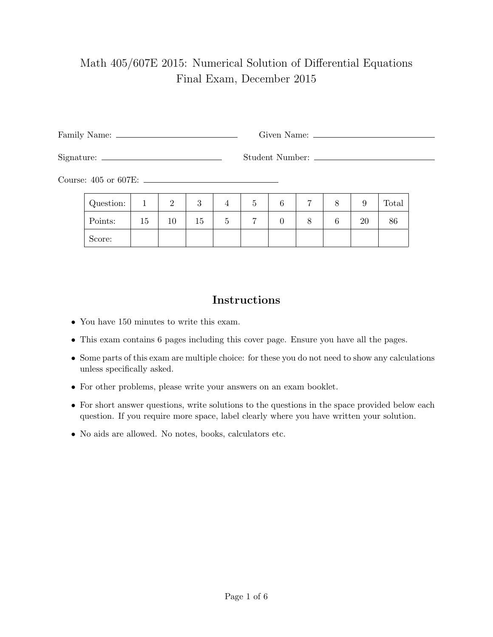## Math 405/607E 2015: Numerical Solution of Differential Equations Final Exam, December 2015

Family Name: Given Name:

Signature: Student Number:

Course: 405 or 607E:

| Question: |    | ↵  | ◡  |   | IJ | $\sqrt{2}$ |  | 9  | Total |
|-----------|----|----|----|---|----|------------|--|----|-------|
| Points:   | 15 | 10 | 15 | ∪ |    |            |  | 20 | 86    |
| Score:    |    |    |    |   |    |            |  |    |       |

## Instructions

- You have 150 minutes to write this exam.
- This exam contains 6 pages including this cover page. Ensure you have all the pages.
- Some parts of this exam are multiple choice: for these you do not need to show any calculations unless specifically asked.
- For other problems, please write your answers on an exam booklet.
- For short answer questions, write solutions to the questions in the space provided below each question. If you require more space, label clearly where you have written your solution.
- No aids are allowed. No notes, books, calculators etc.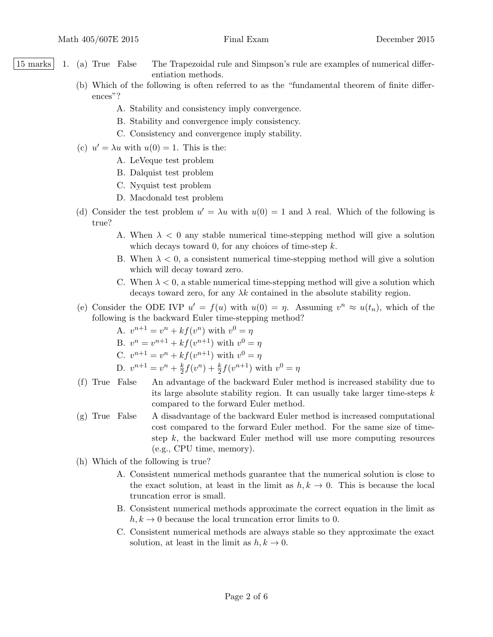- 15 marks 1. (a) True False The Trapezoidal rule and Simpson's rule are examples of numerical differentiation methods.
	- (b) Which of the following is often referred to as the "fundamental theorem of finite differences"?
		- A. Stability and consistency imply convergence.
		- B. Stability and convergence imply consistency.
		- C. Consistency and convergence imply stability.
	- (c)  $u' = \lambda u$  with  $u(0) = 1$ . This is the:
		- A. LeVeque test problem
		- B. Dalquist test problem
		- C. Nyquist test problem
		- D. Macdonald test problem
	- (d) Consider the test problem  $u' = \lambda u$  with  $u(0) = 1$  and  $\lambda$  real. Which of the following is true?
		- A. When  $\lambda < 0$  any stable numerical time-stepping method will give a solution which decays toward 0, for any choices of time-step  $k$ .
		- B. When  $\lambda < 0$ , a consistent numerical time-stepping method will give a solution which will decay toward zero.
		- C. When  $\lambda < 0$ , a stable numerical time-stepping method will give a solution which decays toward zero, for any  $\lambda k$  contained in the absolute stability region.
	- (e) Consider the ODE IVP  $u' = f(u)$  with  $u(0) = \eta$ . Assuming  $v^n \approx u(t_n)$ , which of the following is the backward Euler time-stepping method?

A.  $v^{n+1} = v^n + kf(v^n)$  with  $v^0 = \eta$ 

B.  $v^n = v^{n+1} + kf(v^{n+1})$  with  $v^0 = \eta$ 

C.  $v^{n+1} = v^n + kf(v^{n+1})$  with  $v^0 = \eta$ 

D.  $v^{n+1} = v^n + \frac{k}{2}$  $\frac{k}{2}f(v^n) + \frac{k}{2}f(v^{n+1})$  with  $v^0 = \eta$ 

- (f) True False An advantage of the backward Euler method is increased stability due to its large absolute stability region. It can usually take larger time-steps  $k$ compared to the forward Euler method.
- (g) True False A disadvantage of the backward Euler method is increased computational cost compared to the forward Euler method. For the same size of timestep  $k$ , the backward Euler method will use more computing resources (e.g., CPU time, memory).
- (h) Which of the following is true?
	- A. Consistent numerical methods guarantee that the numerical solution is close to the exact solution, at least in the limit as  $h, k \to 0$ . This is because the local truncation error is small.
	- B. Consistent numerical methods approximate the correct equation in the limit as  $h, k \to 0$  because the local truncation error limits to 0.
	- C. Consistent numerical methods are always stable so they approximate the exact solution, at least in the limit as  $h, k \to 0$ .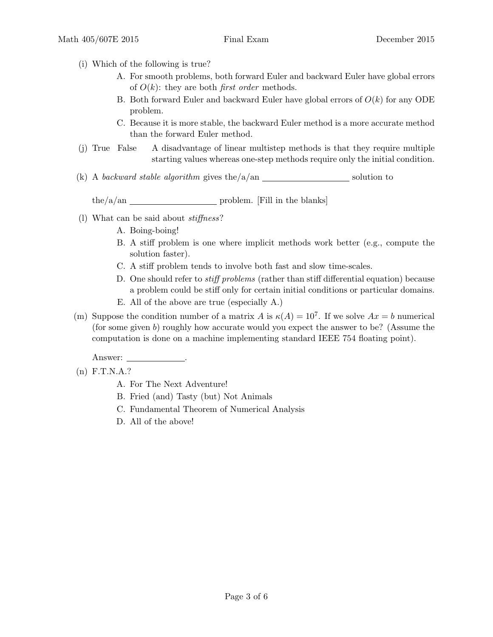- (i) Which of the following is true?
	- A. For smooth problems, both forward Euler and backward Euler have global errors of  $O(k)$ : they are both *first order* methods.
	- B. Both forward Euler and backward Euler have global errors of  $O(k)$  for any ODE problem.
	- C. Because it is more stable, the backward Euler method is a more accurate method than the forward Euler method.
- (j) True False A disadvantage of linear multistep methods is that they require multiple starting values whereas one-step methods require only the initial condition.
- (k) A backward stable algorithm gives the/a/an solution to solution to

 $the/a$ /an problem. [Fill in the blanks]

- (l) What can be said about stiffness?
	- A. Boing-boing!
	- B. A stiff problem is one where implicit methods work better (e.g., compute the solution faster).
	- C. A stiff problem tends to involve both fast and slow time-scales.
	- D. One should refer to *stiff problems* (rather than stiff differential equation) because a problem could be stiff only for certain initial conditions or particular domains.
	- E. All of the above are true (especially A.)
- (m) Suppose the condition number of a matrix A is  $\kappa(A) = 10^7$ . If we solve  $Ax = b$  numerical (for some given b) roughly how accurate would you expect the answer to be? (Assume the computation is done on a machine implementing standard IEEE 754 floating point).

Answer: \_\_\_\_\_\_\_\_\_\_\_\_\_\_\_\_\_\_\_\_.

- (n) F.T.N.A.?
	- A. For The Next Adventure!
	- B. Fried (and) Tasty (but) Not Animals
	- C. Fundamental Theorem of Numerical Analysis
	- D. All of the above!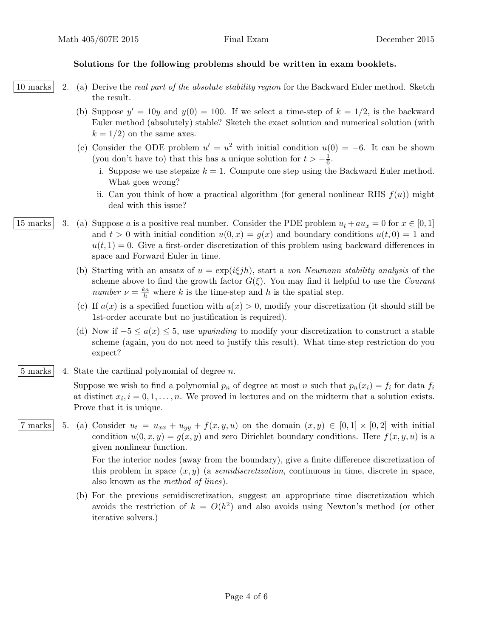## Solutions for the following problems should be written in exam booklets.

- 10 marks 2. (a) Derive the real part of the absolute stability region for the Backward Euler method. Sketch the result.
	- (b) Suppose  $y' = 10y$  and  $y(0) = 100$ . If we select a time-step of  $k = 1/2$ , is the backward Euler method (absolutely) stable? Sketch the exact solution and numerical solution (with  $k = 1/2$  on the same axes.
	- (c) Consider the ODE problem  $u' = u^2$  with initial condition  $u(0) = -6$ . It can be shown (you don't have to) that this has a unique solution for  $t > -\frac{1}{6}$  $\frac{1}{6}$ .
		- i. Suppose we use stepsize  $k = 1$ . Compute one step using the Backward Euler method. What goes wrong?
		- ii. Can you think of how a practical algorithm (for general nonlinear RHS  $f(u)$ ) might deal with this issue?
- 15 marks 3. (a) Suppose a is a positive real number. Consider the PDE problem  $u_t + au_x = 0$  for  $x \in [0,1]$ and  $t > 0$  with initial condition  $u(0, x) = g(x)$  and boundary conditions  $u(t, 0) = 1$  and  $u(t, 1) = 0$ . Give a first-order discretization of this problem using backward differences in space and Forward Euler in time.
	- (b) Starting with an ansatz of  $u = \exp(i\xi jh)$ , start a von Neumann stability analysis of the scheme above to find the growth factor  $G(\xi)$ . You may find it helpful to use the *Courant* number  $\nu = \frac{ka}{h}$  where k is the time-step and h is the spatial step.
	- (c) If  $a(x)$  is a specified function with  $a(x) > 0$ , modify your discretization (it should still be 1st-order accurate but no justification is required).
	- (d) Now if  $-5 \le a(x) \le 5$ , use *upwinding* to modify your discretization to construct a stable scheme (again, you do not need to justify this result). What time-step restriction do you expect?
- $\begin{bmatrix} 5 \text{ marks} \end{bmatrix}$  4. State the cardinal polynomial of degree *n*.

Suppose we wish to find a polynomial  $p_n$  of degree at most n such that  $p_n(x_i) = f_i$  for data  $f_i$ at distinct  $x_i$ ,  $i = 0, 1, \ldots, n$ . We proved in lectures and on the midterm that a solution exists. Prove that it is unique.

7 marks 5. (a) Consider  $u_t = u_{xx} + u_{yy} + f(x, y, u)$  on the domain  $(x, y) \in [0, 1] \times [0, 2]$  with initial condition  $u(0, x, y) = g(x, y)$  and zero Dirichlet boundary conditions. Here  $f(x, y, u)$  is a given nonlinear function.

> For the interior nodes (away from the boundary), give a finite difference discretization of this problem in space  $(x, y)$  (a *semidiscretization*, continuous in time, discrete in space, also known as the method of lines).

(b) For the previous semidiscretization, suggest an appropriate time discretization which avoids the restriction of  $k = O(h^2)$  and also avoids using Newton's method (or other iterative solvers.)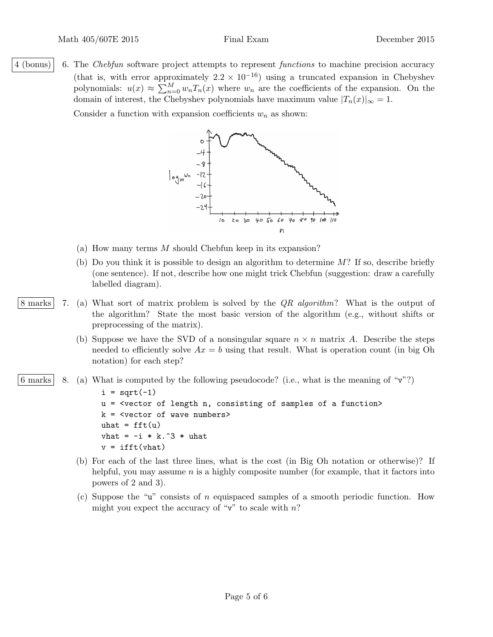$4$  (bonus) 6. The Chebfun software project attempts to represent functions to machine precision accuracy (that is, with error approximately  $2.2 \times 10^{-16}$ ) using a truncated expansion in Chebyshev polynomials:  $u(x) \approx \sum_{n=0}^{M} w_n T_n(x)$  where  $w_n$  are the coefficients of the expansion. On the domain of interest, the Chebyshev polynomials have maximum value  $|T_n(x)|_{\infty} = 1$ .

Consider a function with expansion coefficients  $w_n$  as shown:



- (a) How many terms M should Chebfun keep in its expansion?
- (b) Do you think it is possible to design an algorithm to determine M? If so, describe briefly (one sentence). If not, describe how one might trick Chebfun (suggestion: draw a carefully labelled diagram).
- 8 marks 7. (a) What sort of matrix problem is solved by the *QR algorithm*? What is the output of the algorithm? State the most basic version of the algorithm (e.g., without shifts or preprocessing of the matrix).
	- (b) Suppose we have the SVD of a nonsingular square  $n \times n$  matrix A. Describe the steps needed to efficiently solve  $Ax = b$  using that result. What is operation count (in big Oh notation) for each step?
- 6 marks | 8. (a) What is computed by the following pseudocode? (i.e., what is the meaning of "v"?)

```
i = sqrt(-1)u = <vector of length n, consisting of samples of a function>
k = <vector of wave numbers>
uhat = fft(u)vhat = -i * k.^3 * uhat
v = ifft(vhat)
```
- (b) For each of the last three lines, what is the cost (in Big Oh notation or otherwise)? If helpful, you may assume  $n$  is a highly composite number (for example, that it factors into powers of 2 and 3).
- (c) Suppose the "u" consists of n equispaced samples of a smooth periodic function. How might you expect the accuracy of " $v$ " to scale with n?